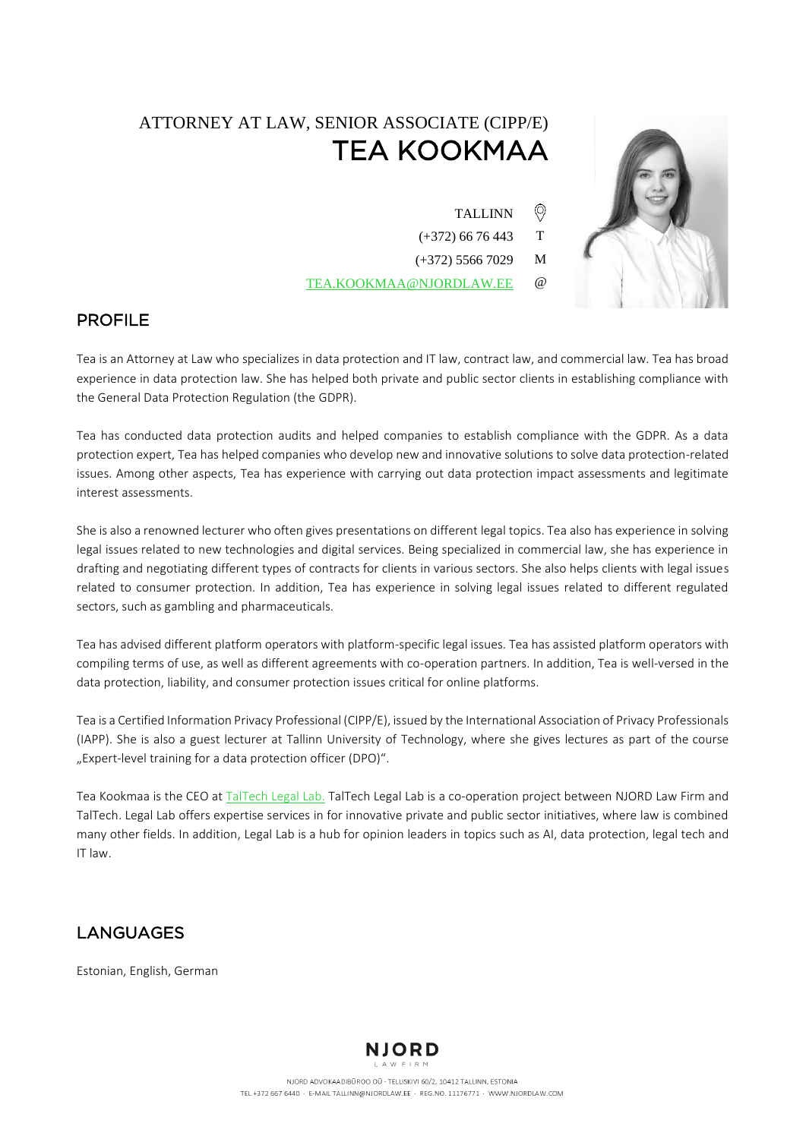# ATTORNEY AT LAW, SENIOR ASSOCIATE (CIPP/E)<br>TEA KOOKMAA TEA KOOKMAAN SAARA 1992.<br>T

TALLINN

 $\circledcirc$ 

- (+372) 66 76 443 T
- (+372) 5566 7029 M
- [TEA.KOOKMAA@NJORDLAW.EE](mailto:TEA.KOOKMAA@NJORDLAW.EE) @



#### **PROFILE** PROFILE

 Tea is an Attorney at Law who specializes in data protection and IT law, contract law, and commercial law. Tea has broad experience in data protection law. She has helped both private and public sector clients in establishing compliance with the General Data Protection Regulation (the GDPR).

Tea has conducted data protection audits and helped companies to establish compliance with the GDPR. As a data protection expert, Tea has helped companies who develop new and innovative solutions to solve data protection-related issues. Among other aspects, Tea has experience with carrying out data protection impact assessments and legitimate interest assessments.

She is also a renowned lecturer who often gives presentations on different legal topics. Tea also has experience in solving legal issues related to new technologies and digital services. Being specialized in commercial law, she has experience in drafting and negotiating different types of contracts for clients in various sectors. She also helps clients with legal issues related to consumer protection. In addition, Tea has experience in solving legal issues related to different regulated sectors, such as gambling and pharmaceuticals.

Tea has advised different platform operators with platform-specific legal issues. Tea has assisted platform operators with compiling terms of use, as well as different agreements with co-operation partners. In addition, Tea is well-versed in the data protection, liability, and consumer protection issues critical for online platforms.

Tea is a Certified Information Privacy Professional (CIPP/E), issued by the International Association of Privacy Professionals (IAPP). She is also a guest lecturer at Tallinn University of Technology, where she gives lectures as part of the course "Expert-level training for a data protection officer (DPO)".

Tea Kookmaa is the CEO at [TalTech Legal Lab.](https://taltech.ee/en/department-law/legal-lab) TalTech Legal Lab is a co-operation project between NJORD Law Firm and TalTech. Legal Lab offers expertise services in for innovative private and public sector initiatives, where law is combined many other fields. In addition, Legal Lab is a hub for opinion leaders in topics such as AI, data protection, legal tech and IT law.

#### **LANGUAGES** LANGUAGES

Estonian, English, German

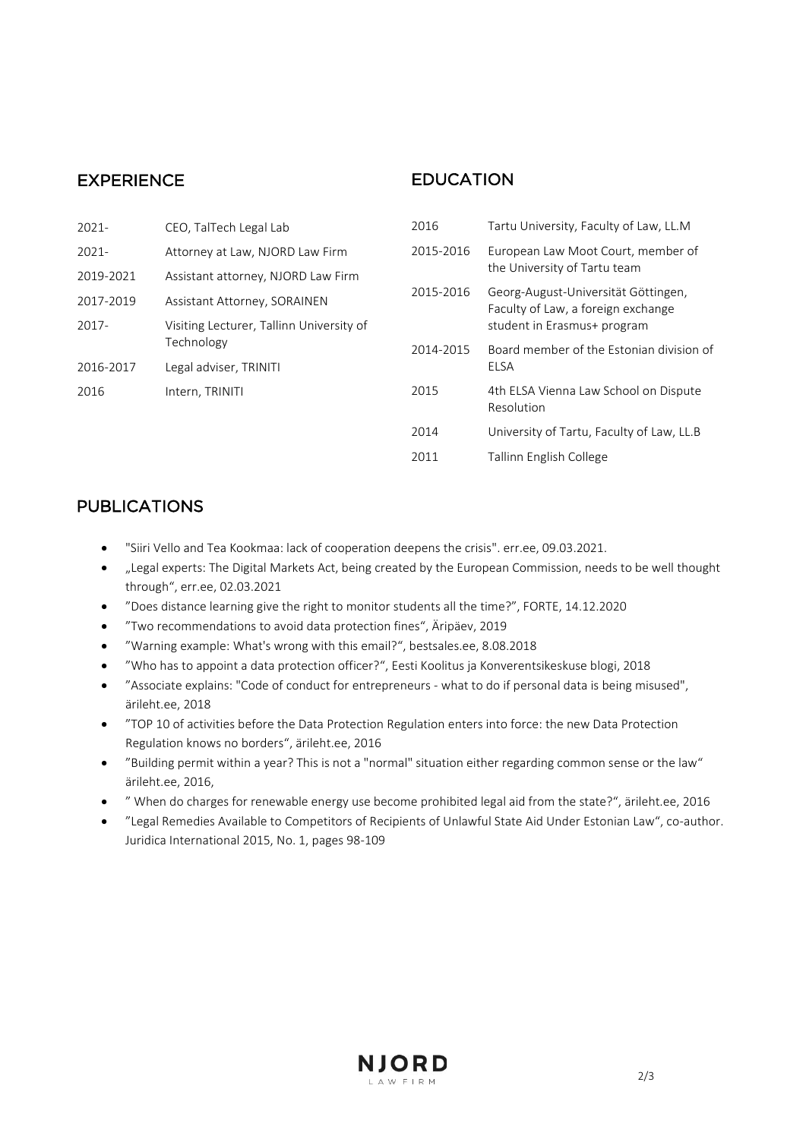### Experience

#### **EDUCATION** EDUCATION

| 2021-     | CEO, TalTech Legal Lab                                 | 2016      | Tartu University, Faculty of Law, LL.M                                    |
|-----------|--------------------------------------------------------|-----------|---------------------------------------------------------------------------|
| $2021 -$  | Attorney at Law, NJORD Law Firm                        | 2015-2016 | European Law Moot Court, member of<br>the University of Tartu team        |
| 2019-2021 | Assistant attorney, NJORD Law Firm                     |           |                                                                           |
| 2017-2019 | Assistant Attorney, SORAINEN                           | 2015-2016 | Georg-August-Universität Göttingen,<br>Faculty of Law, a foreign exchange |
| 2017-     | Visiting Lecturer, Tallinn University of<br>Technology |           | student in Erasmus+ program                                               |
|           |                                                        | 2014-2015 | Board member of the Estonian division of<br>ELSA                          |
| 2016-2017 | Legal adviser, TRINITI                                 |           |                                                                           |
| 2016      | Intern, TRINITI                                        | 2015      | 4th ELSA Vienna Law School on Dispute<br>Resolution                       |
|           |                                                        | 2014      | University of Tartu, Faculty of Law, LL.B                                 |
|           |                                                        | 2011      | Tallinn English College                                                   |

#### **PUBLICATIONS** PUBLICATIONS

- ["Siiri Vello and Tea Kookmaa: lack of cooperation deepens the crisis"](https://www.err.ee/1608135886/siiri-vello-ja-tea-kookmaa-koostoo-puudumine-suvendab-kriisi). err.ee, 09.03.2021.
- ["Legal experts: The Digital Markets Act, being created by the European Commission, needs to be well thought](https://www.err.ee/1608127396/oiguseksperdid-euroopa-komisjoni-loodav-digiturgude-akt-vajab-labimotlemist)  [through"](https://www.err.ee/1608127396/oiguseksperdid-euroopa-komisjoni-loodav-digiturgude-akt-vajab-labimotlemist), err.ee, 02.03.2021
- "[Does distance learning give the right to](https://forte.delfi.ee/news/varia/advokaat-kas-distantsope-annab-oiguse-opilaste-lausjalgimiseks?id=91966669) monitor students all the time?", FORTE, 14.12.2020
- "Two recommendations to avoid data protection fines", Äripäev, 2019
- "Warning example: What's wrong with this email?", bestsales.ee, 8.08.2018
- "Who has to appoint a data protection officer?", Eesti Koolitus ja Konverentsikeskuse blogi, 2018
- "Associate explains: "Code of conduct for entrepreneurs what to do if personal data is being misused", ärileht.ee, 2018
- "TOP 10 of activities before the Data Protection Regulation enters into force: the new Data Protection Regulation knows no borders", ärileht.ee, 2016
- "Building permit within a year? This is not a "normal" situation either regarding common sense or the law" ärileht.ee, 2016,
- " When do charges for renewable energy use become prohibited legal aid from the state?", ärileht.ee, 2016
- "Legal Remedies Available to Competitors of Recipients of Unlawful State Aid Under Estonian Law", co-author. Juridica International 2015, No. 1, pages 98-109